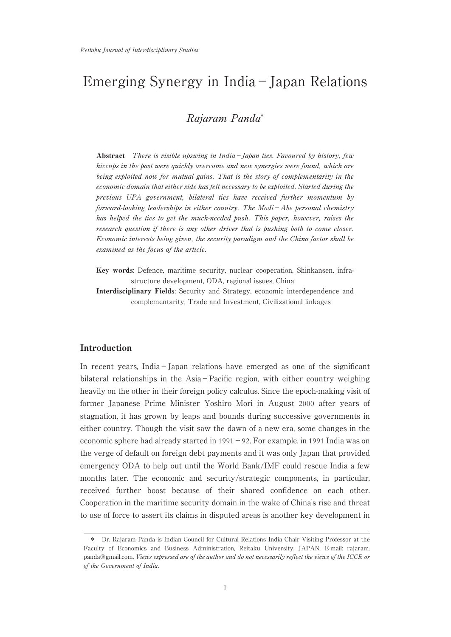# Emerging Synergy in India−Japan Relations

Rajaram Panda\*

Abstract There is visible upswing in India−Japan ties. Favoured by history, few hiccups in the past were quickly overcome and new synergies were found, which are being exploited now for mutual gains. That is the story of complementarity in the economic domain that either side has felt necessary to be exploited. Started during the previous UPA government, bilateral ties have received further momentum by forward-looking leaderships in either country. The Modi−Abe personal chemistry has helped the ties to get the much-needed push. This paper, however, raises the research question if there is any other driver that is pushing both to come closer. Economic interests being given, the security paradigm and the China factor shall be examined as the focus of the article.

Key words: Defence, maritime security, nuclear cooperation, Shinkansen, infrastructure development, ODA, regional issues, China

Interdisciplinary Fields: Security and Strategy, economic interdependence and complementarity, Trade and Investment, Civilizational linkages

# Introduction

In recent years, India−Japan relations have emerged as one of the significant bilateral relationships in the Asia−Pacific region, with either country weighing heavily on the other in their foreign policy calculus. Since the epoch-making visit of former Japanese Prime Minister Yoshiro Mori in August 2000 after years of stagnation, it has grown by leaps and bounds during successive governments in either country. Though the visit saw the dawn of a new era, some changes in the economic sphere had already started in 1991−92. For example, in 1991 India was on the verge of default on foreign debt payments and it was only Japan that provided emergency ODA to help out until the World Bank/IMF could rescue India a few months later. The economic and security/strategic components, in particular, received further boost because of their shared confidence on each other. Cooperation in the maritime security domain in the wake of China's rise and threat to use of force to assert its claims in disputed areas is another key development in

<sup>\*</sup> Dr. Rajaram Panda is Indian Council for Cultural Relations India Chair Visiting Professor at the Faculty of Economics and Business Administration, Reitaku University, JAPAN. E-mail: rajaram. panda@gmail.com. Views expressed are of the author and do not necessarily reflect the views of the ICCR or of the Government of India.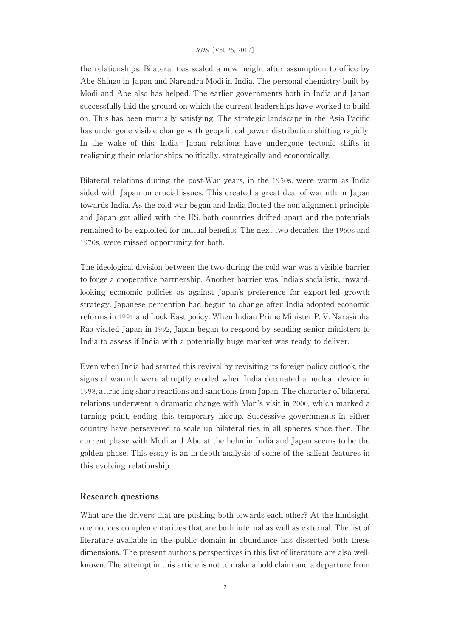the relationships. Bilateral ties scaled a new height after assumption to office by Abe Shinzo in Japan and Narendra Modi in India. The personal chemistry built by Modi and Abe also has helped. The earlier governments both in India and Japan successfully laid the ground on which the current leaderships have worked to build on. This has been mutually satisfying. The strategic landscape in the Asia Pacific has undergone visible change with geopolitical power distribution shifting rapidly. In the wake of this, India−Japan relations have undergone tectonic shifts in realigning their relationships politically, strategically and economically.

Bilateral relations during the post-War years, in the 1950s, were warm as India sided with Japan on crucial issues. This created a great deal of warmth in Japan towards India. As the cold war began and India floated the non-alignment principle and Japan got allied with the US, both countries drifted apart and the potentials remained to be exploited for mutual benefits. The next two decades, the 1960s and 1970s, were missed opportunity for both.

The ideological division between the two during the cold war was a visible barrier to forge a cooperative partnership. Another barrier was India's socialistic, inwardlooking economic policies as against Japan's preference for export-led growth strategy. Japanese perception had begun to change after India adopted economic reforms in 1991 and Look East policy. When Indian Prime Minister P. V. Narasimha Rao visited Japan in 1992, Japan began to respond by sending senior ministers to India to assess if India with a potentially huge market was ready to deliver.

Even when India had started this revival by revisiting its foreign policy outlook, the signs of warmth were abruptly eroded when India detonated a nuclear device in 1998, attracting sharp reactions and sanctions from Japan. The character of bilateral relations underwent a dramatic change with Mori's visit in 2000, which marked a turning point, ending this temporary hiccup. Successive governments in either country have persevered to scale up bilateral ties in all spheres since then. The current phase with Modi and Abe at the helm in India and Japan seems to be the golden phase. This essay is an in-depth analysis of some of the salient features in this evolving relationship.

# Research questions

What are the drivers that are pushing both towards each other? At the hindsight, one notices complementarities that are both internal as well as external. The list of literature available in the public domain in abundance has dissected both these dimensions. The present author's perspectives in this list of literature are also wellknown. The attempt in this article is not to make a bold claim and a departure from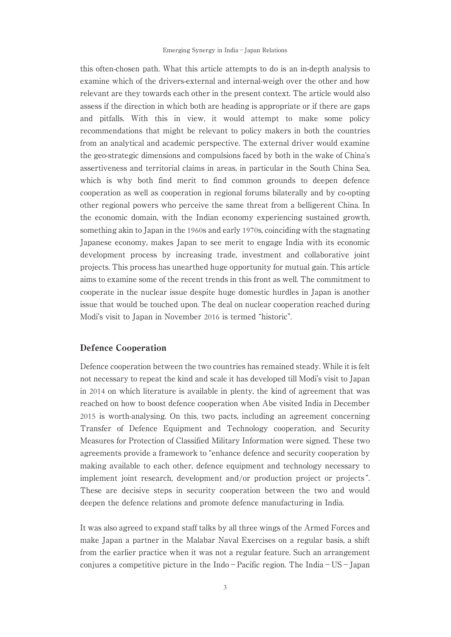this often-chosen path. What this article attempts to do is an in-depth analysis to examine which of the drivers-external and internal-weigh over the other and how relevant are they towards each other in the present context. The article would also assess if the direction in which both are heading is appropriate or if there are gaps and pitfalls. With this in view, it would attempt to make some policy recommendations that might be relevant to policy makers in both the countries from an analytical and academic perspective. The external driver would examine the geo-strategic dimensions and compulsions faced by both in the wake of China's assertiveness and territorial claims in areas, in particular in the South China Sea, which is why both find merit to find common grounds to deepen defence cooperation as well as cooperation in regional forums bilaterally and by co-opting other regional powers who perceive the same threat from a belligerent China. In the economic domain, with the Indian economy experiencing sustained growth, something akin to Japan in the 1960s and early 1970s, coinciding with the stagnating Japanese economy, makes Japan to see merit to engage India with its economic development process by increasing trade, investment and collaborative joint projects. This process has unearthed huge opportunity for mutual gain. This article aims to examine some of the recent trends in this front as well. The commitment to cooperate in the nuclear issue despite huge domestic hurdles in Japan is another issue that would be touched upon. The deal on nuclear cooperation reached during Modi's visit to Japan in November 2016 is termed "historic".

# Defence Cooperation

Defence cooperation between the two countries has remained steady. While it is felt not necessary to repeat the kind and scale it has developed till Modi's visit to Japan in 2014 on which literature is available in plenty, the kind of agreement that was reached on how to boost defence cooperation when Abe visited India in December 2015 is worth-analysing. On this, two pacts, including an agreement concerning Transfer of Defence Equipment and Technology cooperation, and Security Measures for Protection of Classified Military Information were signed. These two agreements provide a framework to "enhance defence and security cooperation by making available to each other, defence equipment and technology necessary to implement joint research, development and/or production project or projects ". These are decisive steps in security cooperation between the two and would deepen the defence relations and promote defence manufacturing in India.

It was also agreed to expand staff talks by all three wings of the Armed Forces and make Japan a partner in the Malabar Naval Exercises on a regular basis, a shift from the earlier practice when it was not a regular feature. Such an arrangement conjures a competitive picture in the Indo−Pacific region. The India−US−Japan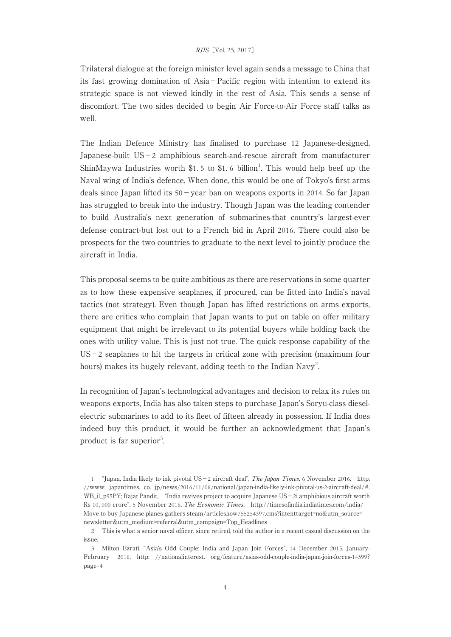Trilateral dialogue at the foreign minister level again sends a message to China that its fast growing domination of Asia−Pacific region with intention to extend its strategic space is not viewed kindly in the rest of Asia. This sends a sense of discomfort. The two sides decided to begin Air Force-to-Air Force staff talks as well.

The Indian Defence Ministry has finalised to purchase 12 Japanese-designed, Japanese-built US−2 amphibious search-and-rescue aircraft from manufacturer ShinMaywa Industries worth  $$1.5$  to  $$1.6$  billion<sup>1</sup>. This would help beef up the Naval wing of India's defence. When done, this would be one of Tokyo's first arms deals since Japan lifted its 50−year ban on weapons exports in 2014. So far Japan has struggled to break into the industry. Though Japan was the leading contender to build Australia's next generation of submarines-that country's largest-ever defense contract-but lost out to a French bid in April 2016. There could also be prospects for the two countries to graduate to the next level to jointly produce the aircraft in India.

This proposal seems to be quite ambitious as there are reservations in some quarter as to how these expensive seaplanes, if procured, can be fitted into India's naval tactics (not strategy). Even though Japan has lifted restrictions on arms exports, there are critics who complain that Japan wants to put on table on offer military equipment that might be irrelevant to its potential buyers while holding back the ones with utility value. This is just not true. The quick response capability of the US−2 seaplanes to hit the targets in critical zone with precision (maximum four hours) makes its hugely relevant, adding teeth to the Indian Navy<sup>2</sup>. .

In recognition of Japan's technological advantages and decision to relax its rules on weapons exports, India has also taken steps to purchase Japan's Soryu-class dieselelectric submarines to add to its fleet of fifteen already in possession. If India does indeed buy this product, it would be further an acknowledgment that Japan's product is far superior<sup>3</sup>. .

<sup>1</sup> "Japan, India likely to ink pivotal US−2 aircraft deal", The Japan Times, 6 November 2016, http: //www. japantimes. co. jp/news/2016/11/06/national/japan-india-likely-ink-pivotal-us-2-aircraft-deal/#. WB\_il\_p95PY; Rajat Pandit, "India revives project to acquire Japanese US−2i amphibious aircraft worth Rs 10, 000 crore", 5 November 2016, The Economic Times, http://timesofindia.indiatimes.com/india/ Move-to-buy-Japanese-planes-gathers-steam/articleshow/55254397.cms?intenttarget=no&utm\_source= newsletter&utm\_medium=referral&utm\_campaign=Top\_Headlines

<sup>2</sup> This is what a senior naval officer, since retired, told the author in a recent casual discussion on the issue.

<sup>3</sup> Milton Ezrati, "Asia's Odd Couple: India and Japan Join Forces", 14 December 2015, January-February 2016, http: //nationalinterest. org/feature/asias-odd-couple-india-japan-join-forces-14599? page=4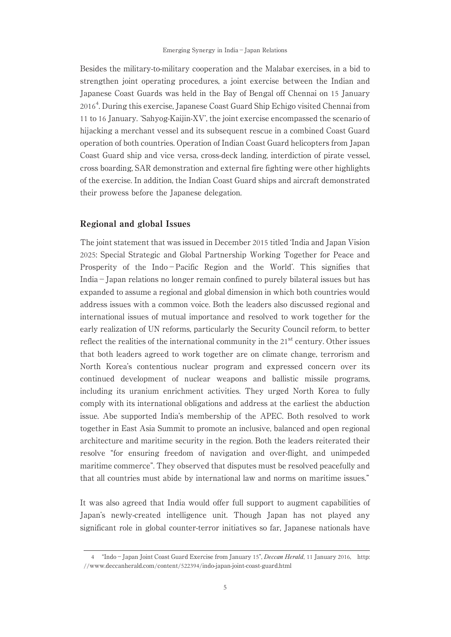Besides the military-to-military cooperation and the Malabar exercises, in a bid to strengthen joint operating procedures, a joint exercise between the Indian and Japanese Coast Guards was held in the Bay of Bengal off Chennai on 15 January 2016<sup>4</sup> . During this exercise, Japanese Coast Guard Ship Echigo visited Chennai from 11 to 16 January. ʻSahyog-Kaijin-XV', the joint exercise encompassed the scenario of hijacking a merchant vessel and its subsequent rescue in a combined Coast Guard operation of both countries. Operation of Indian Coast Guard helicopters from Japan Coast Guard ship and vice versa, cross-deck landing, interdiction of pirate vessel, cross boarding, SAR demonstration and external fire fighting were other highlights of the exercise. In addition, the Indian Coast Guard ships and aircraft demonstrated their prowess before the Japanese delegation.

### Regional and global Issues

The joint statement that was issued in December 2015 titled ʻIndia and Japan Vision 2025: Special Strategic and Global Partnership Working Together for Peace and Prosperity of the Indo−Pacific Region and the World'. This signifies that India−Japan relations no longer remain confined to purely bilateral issues but has expanded to assume a regional and global dimension in which both countries would address issues with a common voice. Both the leaders also discussed regional and international issues of mutual importance and resolved to work together for the early realization of UN reforms, particularly the Security Council reform, to better reflect the realities of the international community in the 21<sup>st</sup> century. Other issues that both leaders agreed to work together are on climate change, terrorism and North Korea's contentious nuclear program and expressed concern over its continued development of nuclear weapons and ballistic missile programs, including its uranium enrichment activities. They urged North Korea to fully comply with its international obligations and address at the earliest the abduction issue. Abe supported India's membership of the APEC. Both resolved to work together in East Asia Summit to promote an inclusive, balanced and open regional architecture and maritime security in the region. Both the leaders reiterated their resolve "for ensuring freedom of navigation and over-flight, and unimpeded maritime commerce". They observed that disputes must be resolved peacefully and that all countries must abide by international law and norms on maritime issues."

It was also agreed that India would offer full support to augment capabilities of Japan's newly-created intelligence unit. Though Japan has not played any significant role in global counter-terror initiatives so far, Japanese nationals have

<sup>4</sup> "Indo−Japan Joint Coast Guard Exercise from January 15", Deccan Herald, 11 January 2016, http: //www.deccanherald.com/content/522394/indo-japan-joint-coast-guard.html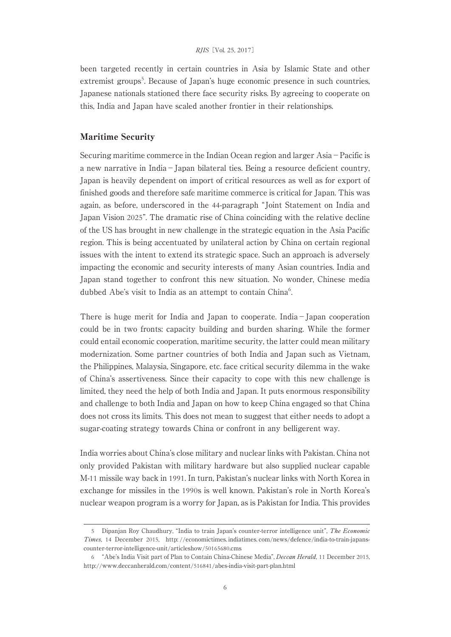been targeted recently in certain countries in Asia by Islamic State and other extremist groups<sup>5</sup>. Because of Japan's huge economic presence in such countries, Japanese nationals stationed there face security risks. By agreeing to cooperate on this, India and Japan have scaled another frontier in their relationships.

## Maritime Security

Securing maritime commerce in the Indian Ocean region and larger Asia−Pacific is a new narrative in India−Japan bilateral ties. Being a resource deficient country, Japan is heavily dependent on import of critical resources as well as for export of finished goods and therefore safe maritime commerce is critical for Japan. This was again, as before, underscored in the 44-paragraph "Joint Statement on India and Japan Vision 2025". The dramatic rise of China coinciding with the relative decline of the US has brought in new challenge in the strategic equation in the Asia Pacific region. This is being accentuated by unilateral action by China on certain regional issues with the intent to extend its strategic space. Such an approach is adversely impacting the economic and security interests of many Asian countries. India and Japan stand together to confront this new situation. No wonder, Chinese media dubbed Abe's visit to India as an attempt to contain China<sup>6</sup>. .

There is huge merit for India and Japan to cooperate. India−Japan cooperation could be in two fronts: capacity building and burden sharing. While the former could entail economic cooperation, maritime security, the latter could mean military modernization. Some partner countries of both India and Japan such as Vietnam, the Philippines, Malaysia, Singapore, etc. face critical security dilemma in the wake of China's assertiveness. Since their capacity to cope with this new challenge is limited, they need the help of both India and Japan. It puts enormous responsibility and challenge to both India and Japan on how to keep China engaged so that China does not cross its limits. This does not mean to suggest that either needs to adopt a sugar-coating strategy towards China or confront in any belligerent way.

India worries about China's close military and nuclear links with Pakistan. China not only provided Pakistan with military hardware but also supplied nuclear capable M-11 missile way back in 1991. In turn, Pakistan's nuclear links with North Korea in exchange for missiles in the 1990s is well known. Pakistan's role in North Korea's nuclear weapon program is a worry for Japan, as is Pakistan for India. This provides

<sup>5</sup> Dipanjan Roy Chaudhury, "India to train Japan's counter-terror intelligence unit", The Economic Times, 14 December 2015, http: //economictimes. indiatimes. com/news/defence/india-to-train-japanscounter-terror-intelligence-unit/articleshow/50165680.cms

<sup>6</sup> "Abe's India Visit part of Plan to Contain China-Chinese Media", Deccan Herald, 11 December 2015, http://www.deccanherald.com/content/516841/abes-india-visit-part-plan.html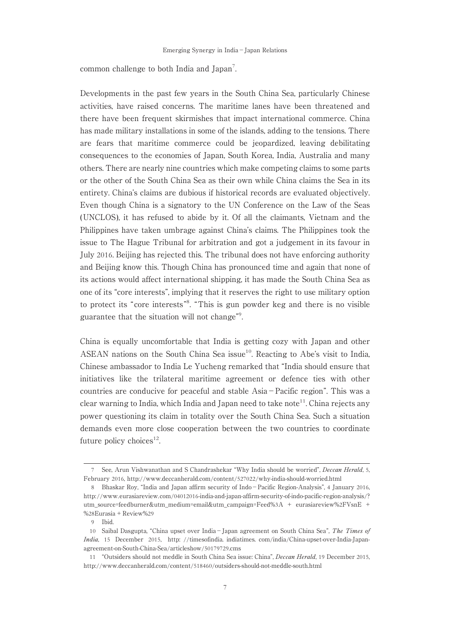common challenge to both India and Japan<sup>7</sup>. .

Developments in the past few years in the South China Sea, particularly Chinese activities, have raised concerns. The maritime lanes have been threatened and there have been frequent skirmishes that impact international commerce. China has made military installations in some of the islands, adding to the tensions. There are fears that maritime commerce could be jeopardized, leaving debilitating consequences to the economies of Japan, South Korea, India, Australia and many others. There are nearly nine countries which make competing claims to some parts or the other of the South China Sea as their own while China claims the Sea in its entirety. China's claims are dubious if historical records are evaluated objectively. Even though China is a signatory to the UN Conference on the Law of the Seas (UNCLOS), it has refused to abide by it. Of all the claimants, Vietnam and the Philippines have taken umbrage against China's claims. The Philippines took the issue to The Hague Tribunal for arbitration and got a judgement in its favour in July 2016. Beijing has rejected this. The tribunal does not have enforcing authority and Beijing know this. Though China has pronounced time and again that none of its actions would affect international shipping, it has made the South China Sea as one of its "core interests", implying that it reserves the right to use military option to protect its "core interests"<sup>8</sup> . "This is gun powder keg and there is no visible guarantee that the situation will not change"<sup>9</sup> .

China is equally uncomfortable that India is getting cozy with Japan and other ASEAN nations on the South China Sea issue<sup>10</sup>. Reacting to Abe's visit to India, Chinese ambassador to India Le Yucheng remarked that "India should ensure that initiatives like the trilateral maritime agreement or defence ties with other countries are conducive for peaceful and stable Asia−Pacific region". This was a clear warning to India, which India and Japan need to take note<sup>11</sup>. China rejects any power questioning its claim in totality over the South China Sea. Such a situation demands even more close cooperation between the two countries to coordinate future policy choices<sup>12</sup>.

<sup>7</sup> See, Arun Vishwanathan and S Chandrashekar "Why India should be worried", Deccan Herald, 5, February 2016, http://www.deccanherald.com/content/527022/why-india-should-worried.html

<sup>8</sup> Bhaskar Roy, "India and Japan affirm security of Indo−Pacific Region-Analysis", 4 January 2016, http://www.eurasiareview.com/04012016-india-and-japan-affirm-security-of-indo-pacific-region-analysis/? utm\_source=feedburner&utm\_medium=email&utm\_campaign=Feed%3A + eurasiareview%2FVsnE + %28Eurasia + Review%29

<sup>9</sup> Ibid.

<sup>10</sup> Saibal Dasgupta, "China upset over India−Japan agreement on South China Sea", The Times of India, 15 December 2015, http: //timesofindia. indiatimes. com/india/China-upset-over-India-Japanagreement-on-South-China-Sea/articleshow/50179729.cms

<sup>11</sup> "Outsiders should not meddle in South China Sea issue: China", Deccan Herald, 19 December 2015, http://www.deccanherald.com/content/518460/outsiders-should-not-meddle-south.html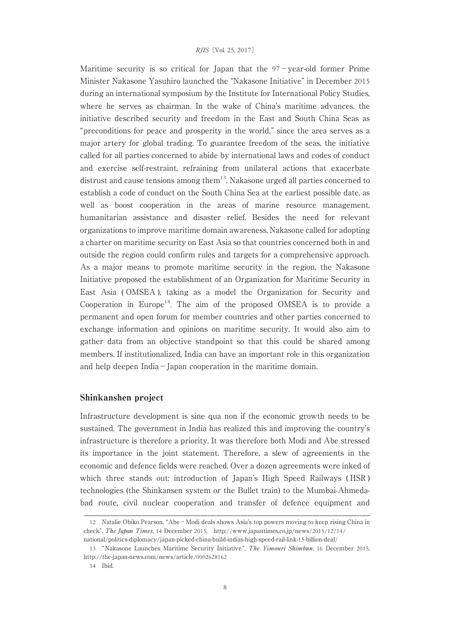Maritime security is so critical for Japan that the 97−year-old former Prime Minister Nakasone Yasuhiro launched the "Nakasone Initiative" in December 2015 during an international symposium by the Institute for International Policy Studies, where he serves as chairman. In the wake of China's maritime advances, the initiative described security and freedom in the East and South China Seas as "preconditions for peace and prosperity in the world," since the area serves as a major artery for global trading. To guarantee freedom of the seas, the initiative called for all parties concerned to abide by international laws and codes of conduct and exercise self-restraint, refraining from unilateral actions that exacerbate distrust and cause tensions among them<sup>13</sup>. Nakasone urged all parties concerned to establish a code of conduct on the South China Sea at the earliest possible date, as well as boost cooperation in the areas of marine resource management, humanitarian assistance and disaster relief. Besides the need for relevant organizations to improve maritime domain awareness, Nakasone called for adopting a charter on maritime security on East Asia so that countries concerned both in and outside the region could confirm rules and targets for a comprehensive approach. As a major means to promote maritime security in the region, the Nakasone Initiative proposed the establishment of an Organization for Maritime Security in East Asia ( OMSEA ), taking as a model the Organization for Security and Cooperation in Europe<sup>14</sup>. The aim of the proposed OMSEA is to provide a permanent and open forum for member countries and other parties concerned to exchange information and opinions on maritime security. It would also aim to gather data from an objective standpoint so that this could be shared among members. If institutionalized, India can have an important role in this organization and help deepen India−Japan cooperation in the maritime domain.

# Shinkanshen project

Infrastructure development is sine qua non if the economic growth needs to be sustained. The government in India has realized this and improving the country's infrastructure is therefore a priority. It was therefore both Modi and Abe stressed its importance in the joint statement. Therefore, a slew of agreements in the economic and defence fields were reached. Over a dozen agreements were inked of which three stands out: introduction of Japan's High Speed Railways ( HSR ) technologies (the Shinkansen system or the Bullet train) to the Mumbai-Ahmedabad route, civil nuclear cooperation and transfer of defence equipment and

<sup>12</sup> Natalie Obiko Pearson, "Abe−Modi deals shows Asia's top powers moving to keep rising China in check", The Japan Times, 14 December 2015, http://www.japantimes.co.jp/news/2015/12/14/ national/politics-diplomacy/japan-picked-china-build-indias-high-speed-rail-link-15-billion-deal/

<sup>13 &</sup>quot;Nakasone Launches Maritime Security Initiative", The Yimouri Shimbun, 16 December 2015, http://the-japan-news.com/news/article/0002628162

<sup>14</sup> Ibid.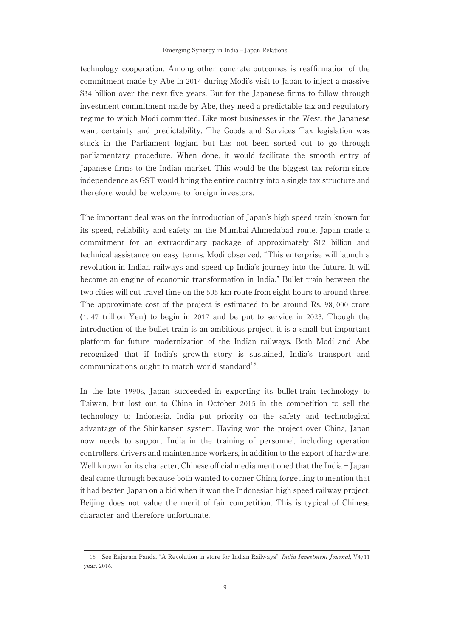technology cooperation. Among other concrete outcomes is reaffirmation of the commitment made by Abe in 2014 during Modi's visit to Japan to inject a massive \$34 billion over the next five years. But for the Japanese firms to follow through investment commitment made by Abe, they need a predictable tax and regulatory regime to which Modi committed. Like most businesses in the West, the Japanese want certainty and predictability. The Goods and Services Tax legislation was stuck in the Parliament logjam but has not been sorted out to go through parliamentary procedure. When done, it would facilitate the smooth entry of Japanese firms to the Indian market. This would be the biggest tax reform since independence as GST would bring the entire country into a single tax structure and therefore would be welcome to foreign investors.

The important deal was on the introduction of Japan's high speed train known for its speed, reliability and safety on the Mumbai-Ahmedabad route. Japan made a commitment for an extraordinary package of approximately \$12 billion and technical assistance on easy terms. Modi observed: "This enterprise will launch a revolution in Indian railways and speed up India's journey into the future. It will become an engine of economic transformation in India." Bullet train between the two cities will cut travel time on the 505-km route from eight hours to around three. The approximate cost of the project is estimated to be around Rs. 98, 000 crore  $(1.47$  trillion Yen) to begin in 2017 and be put to service in 2023. Though the introduction of the bullet train is an ambitious project, it is a small but important platform for future modernization of the Indian railways. Both Modi and Abe recognized that if India's growth story is sustained, India's transport and communications ought to match world standard<sup>15</sup>.

In the late 1990s, Japan succeeded in exporting its bullet-train technology to Taiwan, but lost out to China in October 2015 in the competition to sell the technology to Indonesia. India put priority on the safety and technological advantage of the Shinkansen system. Having won the project over China, Japan now needs to support India in the training of personnel, including operation controllers, drivers and maintenance workers, in addition to the export of hardware. Well known for its character, Chinese official media mentioned that the India−Japan deal came through because both wanted to corner China, forgetting to mention that it had beaten Japan on a bid when it won the Indonesian high speed railway project. Beijing does not value the merit of fair competition. This is typical of Chinese character and therefore unfortunate.

<sup>15</sup> See Rajaram Panda, "A Revolution in store for Indian Railways", India Investment Journal, V4/11 year, 2016.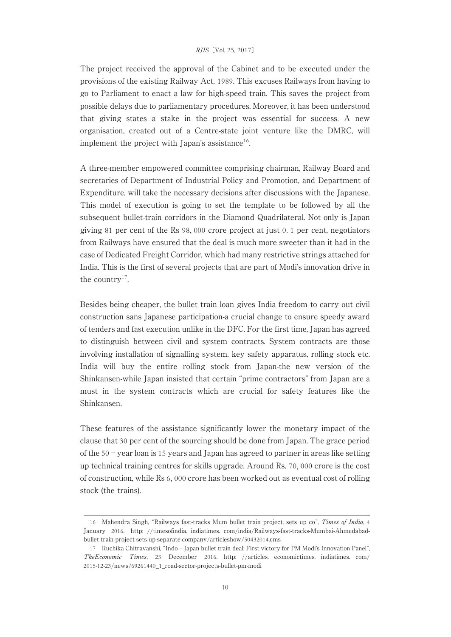The project received the approval of the Cabinet and to be executed under the provisions of the existing Railway Act, 1989. This excuses Railways from having to go to Parliament to enact a law for high-speed train. This saves the project from possible delays due to parliamentary procedures. Moreover, it has been understood that giving states a stake in the project was essential for success. A new organisation, created out of a Centre-state joint venture like the DMRC, will implement the project with Japan's assistance<sup>16</sup>.

A three-member empowered committee comprising chairman, Railway Board and secretaries of Department of Industrial Policy and Promotion, and Department of Expenditure, will take the necessary decisions after discussions with the Japanese. This model of execution is going to set the template to be followed by all the subsequent bullet-train corridors in the Diamond Quadrilateral. Not only is Japan giving 81 per cent of the Rs 98, 000 crore project at just 0. 1 per cent, negotiators from Railways have ensured that the deal is much more sweeter than it had in the case of Dedicated Freight Corridor, which had many restrictive strings attached for India. This is the first of several projects that are part of Modi's innovation drive in the country<sup>17</sup>.

Besides being cheaper, the bullet train loan gives India freedom to carry out civil construction sans Japanese participation-a crucial change to ensure speedy award of tenders and fast execution unlike in the DFC. For the first time, Japan has agreed to distinguish between civil and system contracts. System contracts are those involving installation of signalling system, key safety apparatus, rolling stock etc. India will buy the entire rolling stock from Japan-the new version of the Shinkansen-while Japan insisted that certain "prime contractors" from Japan are a must in the system contracts which are crucial for safety features like the Shinkansen.

These features of the assistance significantly lower the monetary impact of the clause that 30 per cent of the sourcing should be done from Japan. The grace period of the 50−year loan is 15 years and Japan has agreed to partner in areas like setting up technical training centres for skills upgrade. Around Rs. 70, 000 crore is the cost of construction, while Rs 6, 000 crore has been worked out as eventual cost of rolling stock (the trains).

<sup>16</sup> Mahendra Singh, "Railways fast-tracks Mum bullet train project, sets up co", Times of India, 4 January 2016. http: //timesofindia. indiatimes. com/india/Railways-fast-tracks-Mumbai-Ahmedabadbullet-train-project-sets-up-separate-company/articleshow/50432014.cms

<sup>17</sup> Ruchika Chitravanshi, "Indo−Japan bullet train deal: First victory for PM Modi's Innovation Panel", TheEconomic Times, 23 December 2016. http: //articles. economictimes. indiatimes. com/ 2015-12-23/news/69261440\_1\_road-sector-projects-bullet-pm-modi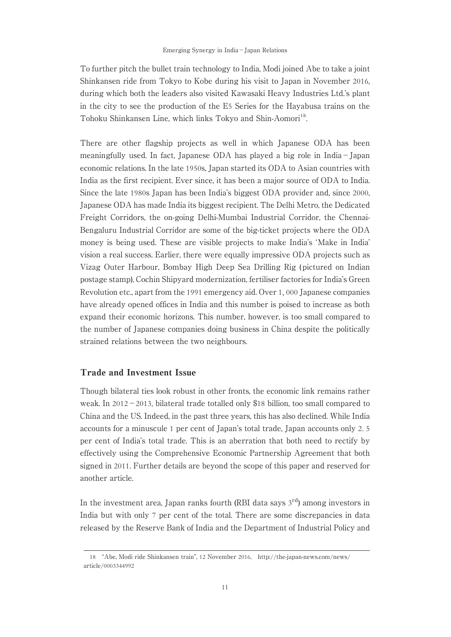To further pitch the bullet train technology to India, Modi joined Abe to take a joint Shinkansen ride from Tokyo to Kobe during his visit to Japan in November 2016, during which both the leaders also visited Kawasaki Heavy Industries Ltd.'s plant in the city to see the production of the E5 Series for the Hayabusa trains on the Tohoku Shinkansen Line, which links Tokyo and Shin-Aomori<sup>18</sup>.

There are other flagship projects as well in which Japanese ODA has been meaningfully used. In fact, Japanese ODA has played a big role in India−Japan economic relations. In the late 1950s, Japan started its ODA to Asian countries with India as the first recipient. Ever since, it has been a major source of ODA to India. Since the late 1980s Japan has been India's biggest ODA provider and, since 2000, Japanese ODA has made India its biggest recipient. The Delhi Metro, the Dedicated Freight Corridors, the on-going Delhi-Mumbai Industrial Corridor, the Chennai-Bengaluru Industrial Corridor are some of the big-ticket projects where the ODA money is being used. These are visible projects to make India's ʻMake in India' vision a real success. Earlier, there were equally impressive ODA projects such as Vizag Outer Harbour, Bombay High Deep Sea Drilling Rig ( pictured on Indian postage stamp), Cochin Shipyard modernization, fertiliser factories for India's Green Revolution etc., apart from the 1991 emergency aid. Over 1, 000 Japanese companies have already opened offices in India and this number is poised to increase as both expand their economic horizons. This number, however, is too small compared to the number of Japanese companies doing business in China despite the politically strained relations between the two neighbours.

# Trade and Investment Issue

Though bilateral ties look robust in other fronts, the economic link remains rather weak. In 2012−2013, bilateral trade totalled only \$18 billion, too small compared to China and the US. Indeed, in the past three years, this has also declined. While India accounts for a minuscule 1 per cent of Japan's total trade, Japan accounts only 2. 5 per cent of India's total trade. This is an aberration that both need to rectify by effectively using the Comprehensive Economic Partnership Agreement that both signed in 2011. Further details are beyond the scope of this paper and reserved for another article.

In the investment area, Japan ranks fourth (RBI data says  $3<sup>rd</sup>$ ) among investors in India but with only 7 per cent of the total. There are some discrepancies in data released by the Reserve Bank of India and the Department of Industrial Policy and

<sup>18</sup> "Abe, Modi ride Shinkansen train", 12 November 2016, http://the-japan-news.com/news/ article/0003344992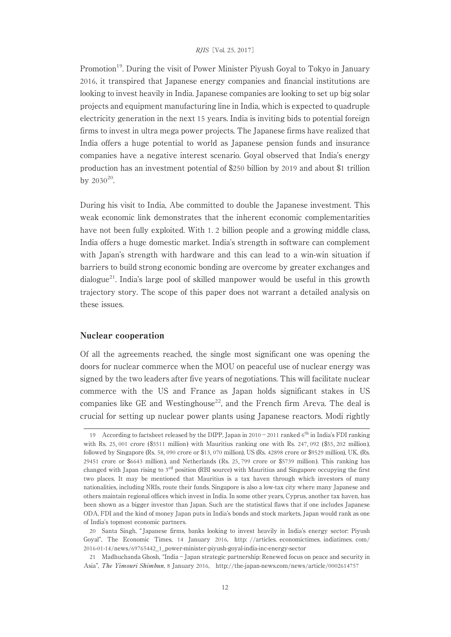Promotion<sup>19</sup>. During the visit of Power Minister Piyush Goyal to Tokyo in January 2016, it transpired that Japanese energy companies and financial institutions are looking to invest heavily in India. Japanese companies are looking to set up big solar projects and equipment manufacturing line in India, which is expected to quadruple electricity generation in the next 15 years. India is inviting bids to potential foreign firms to invest in ultra mega power projects. The Japanese firms have realized that India offers a huge potential to world as Japanese pension funds and insurance companies have a negative interest scenario. Goyal observed that India's energy production has an investment potential of \$250 billion by 2019 and about \$1 trillion by  $2030^{20}$ .

During his visit to India, Abe committed to double the Japanese investment. This weak economic link demonstrates that the inherent economic complementarities have not been fully exploited. With 1. 2 billion people and a growing middle class, India offers a huge domestic market. India's strength in software can complement with Japan's strength with hardware and this can lead to a win-win situation if barriers to build strong economic bonding are overcome by greater exchanges and dialogue21. India's large pool of skilled manpower would be useful in this growth trajectory story. The scope of this paper does not warrant a detailed analysis on these issues.

### Nuclear cooperation

Of all the agreements reached, the single most significant one was opening the doors for nuclear commerce when the MOU on peaceful use of nuclear energy was signed by the two leaders after five years of negotiations. This will facilitate nuclear commerce with the US and France as Japan holds significant stakes in US companies like GE and Westinghouse<sup>22</sup>, and the French firm Areva. The deal is crucial for setting up nuclear power plants using Japanese reactors. Modi rightly

<sup>19</sup> According to factsheet released by the DIPP, Japan in 2010−2011 ranked 6th in India's FDI ranking with Rs. 25, 001 crore (\$5511 million) with Mauritius ranking one with Rs. 247, 092 (\$55, 202 million), followed by Singapore (Rs. 58, 090 crore or \$13, 070 million), US (Rs. 42898 crore or \$9529 million), UK, (Rs. 29451 crore or \$6643 million), and Netherlands (Rs. 25, 799 crore or \$5739 million). This ranking has changed with Japan rising to 3rd position (RBI source) with Mauritius and Singapore occupying the first two places. It may be mentioned that Mauritius is a tax haven through which investors of many nationalities, including NRIs, route their funds. Singapore is also a low-tax city where many Japanese and others maintain regional offices which invest in India. In some other years, Cyprus, another tax haven, has been shown as a bigger investor than Japan. Such are the statistical flaws that if one includes Japanese ODA, FDI and the kind of money Japan puts in India's bonds and stock markets, Japan would rank as one of India's topmost economic partners.

<sup>20</sup> Santa Singh, " Japanese firms, banks looking to invest heavily in India's energy sector: Piyush Goyal", The Economic Times, 14 January 2016, http: //articles. economictimes. indiatimes. com/ 2016-01-14/news/69765442\_1\_power-minister-piyush-goyal-india-inc-energy-sector

<sup>21</sup> Madhuchanda Ghosh, "India−Japan strategic partnership: Renewed focus on peace and security in Asia", The Yimouri Shimbun, 8 January 2016, http://the-japan-news.com/news/article/0002614757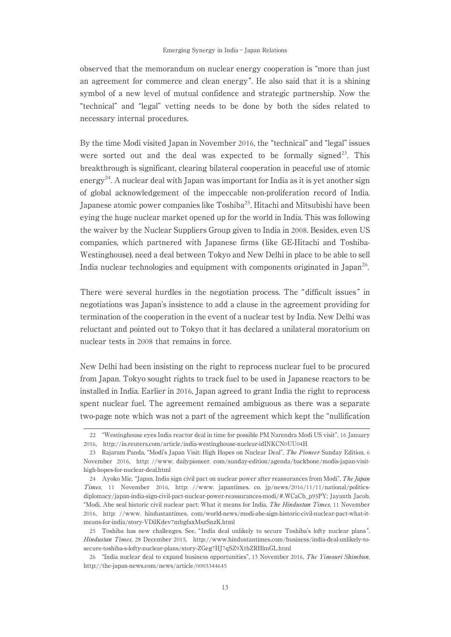observed that the memorandum on nuclear energy cooperation is "more than just an agreement for commerce and clean energy". He also said that it is a shining symbol of a new level of mutual confidence and strategic partnership. Now the "technical" and "legal" vetting needs to be done by both the sides related to necessary internal procedures.

By the time Modi visited Japan in November 2016, the "technical" and "legal" issues were sorted out and the deal was expected to be formally signed<sup>23</sup>. This breakthrough is significant, clearing bilateral cooperation in peaceful use of atomic energy<sup>24</sup>. A nuclear deal with Japan was important for India as it is yet another sign of global acknowledgement of the impeccable non-proliferation record of India. Japanese atomic power companies like Toshiba<sup>25</sup>, Hitachi and Mitsubishi have been eying the huge nuclear market opened up for the world in India. This was following the waiver by the Nuclear Suppliers Group given to India in 2008. Besides, even US companies, which partnered with Japanese firms ( like GE-Hitachi and Toshiba-Westinghouse), need a deal between Tokyo and New Delhi in place to be able to sell India nuclear technologies and equipment with components originated in Japan<sup>26</sup>.

There were several hurdles in the negotiation process. The "difficult issues " in negotiations was Japan's insistence to add a clause in the agreement providing for termination of the cooperation in the event of a nuclear test by India. New Delhi was reluctant and pointed out to Tokyo that it has declared a unilateral moratorium on nuclear tests in 2008 that remains in force.

New Delhi had been insisting on the right to reprocess nuclear fuel to be procured from Japan. Tokyo sought rights to track fuel to be used in Japanese reactors to be installed in India. Earlier in 2016, Japan agreed to grant India the right to reprocess spent nuclear fuel. The agreement remained ambiguous as there was a separate two-page note which was not a part of the agreement which kept the "nullification

<sup>22</sup> "Westinghouse eyes India reactor deal in time for possible PM Narendra Modi US visit", 16 January 2016, http://in.reuters.com/article/india-westinghouse-nuclear-idINKCN0UU04H

<sup>23</sup> Rajaram Panda, "Modi's Japan Visit: High Hopes on Nuclear Deal", The Pioneer Sunday Edition, 6 November 2016, http: //www. dailypioneer. com/sunday-edition/agenda/backbone/modis-japan-visithigh-hopes-for-nuclear-deal.html

<sup>24</sup> Ayoko Mie, "Japan, India sign civil pact on nuclear power after reassurances from Modi", The Japan Times, 11 November 2016, http: //www. japantimes. co. jp/news/2016/11/11/national/politicsdiplomacy/japan-india-sign-civil-pact-nuclear-power-reassurances-modi/#.WCaCb\_p95PY; Jayanth Jacob, "Modi, Abe seal historic civil nuclear pact: What it means for India, The Hindustan Times, 11 November 2016, http: //www. hindustantimes. com/world-news/modi-abe-sign-historic-civil-nuclear-pact-what-itmeans-for-india/story-VDilKdev7mbgfaxMszSnzK.html

<sup>25</sup> Toshiba has new challenges. See, " India deal unlikely to secure Toshiba's lofty nuclear plans ", Hindustan Times, 28 December 2015, http://www.hindustantimes.com/business/india-deal-unlikely-tosecure-toshiba-s-lofty-nuclear-plans/story-ZGeg7HJ7qSZ9XtbZRHlmGL.html

<sup>26</sup> "India nuclear deal to expand business opportunities", 13 November 2016, The Yimouri Shimbun, http://the-japan-news.com/news/article/0003344645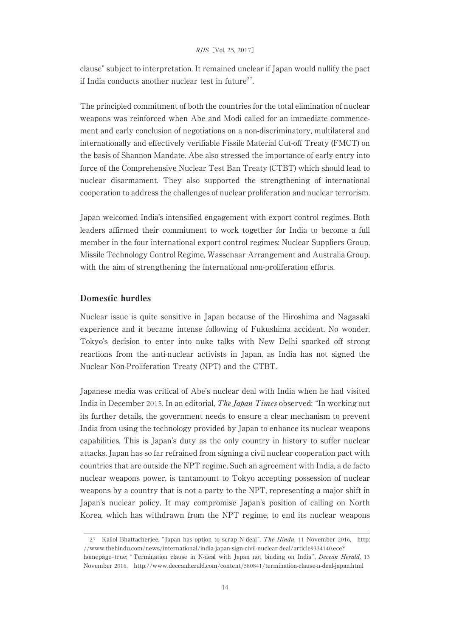clause" subject to interpretation. It remained unclear if Japan would nullify the pact if India conducts another nuclear test in future<sup>27</sup>.

The principled commitment of both the countries for the total elimination of nuclear weapons was reinforced when Abe and Modi called for an immediate commencement and early conclusion of negotiations on a non-discriminatory, multilateral and internationally and effectively verifiable Fissile Material Cut-off Treaty (FMCT) on the basis of Shannon Mandate. Abe also stressed the importance of early entry into force of the Comprehensive Nuclear Test Ban Treaty (CTBT) which should lead to nuclear disarmament. They also supported the strengthening of international cooperation to address the challenges of nuclear proliferation and nuclear terrorism.

Japan welcomed India's intensified engagement with export control regimes. Both leaders affirmed their commitment to work together for India to become a full member in the four international export control regimes: Nuclear Suppliers Group, Missile Technology Control Regime, Wassenaar Arrangement and Australia Group, with the aim of strengthening the international non-proliferation efforts.

# Domestic hurdles

Nuclear issue is quite sensitive in Japan because of the Hiroshima and Nagasaki experience and it became intense following of Fukushima accident. No wonder, Tokyo's decision to enter into nuke talks with New Delhi sparked off strong reactions from the anti-nuclear activists in Japan, as India has not signed the Nuclear Non-Proliferation Treaty (NPT) and the CTBT.

Japanese media was critical of Abe's nuclear deal with India when he had visited India in December 2015. In an editorial, The Japan Times observed: "In working out its further details, the government needs to ensure a clear mechanism to prevent India from using the technology provided by Japan to enhance its nuclear weapons capabilities. This is Japan's duty as the only country in history to suffer nuclear attacks. Japan has so far refrained from signing a civil nuclear cooperation pact with countries that are outside the NPT regime. Such an agreement with India, a de facto nuclear weapons power, is tantamount to Tokyo accepting possession of nuclear weapons by a country that is not a party to the NPT, representing a major shift in Japan's nuclear policy. It may compromise Japan's position of calling on North Korea, which has withdrawn from the NPT regime, to end its nuclear weapons

<sup>27</sup> Kallol Bhattacherjee, "Japan has option to scrap N-deal", The Hindu, 11 November 2016, http: //www.thehindu.com/news/international/india-japan-sign-civil-nuclear-deal/article9334140.ece? homepage=true; "Termination clause in N-deal with Japan not binding on India", *Deccan Herald*, 13 November 2016, http://www.deccanherald.com/content/580841/termination-clause-n-deal-japan.html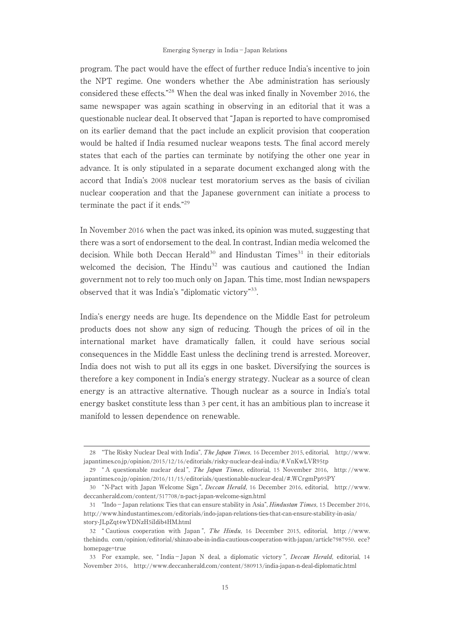program. The pact would have the effect of further reduce India's incentive to join the NPT regime. One wonders whether the Abe administration has seriously considered these effects."<sup>28</sup> When the deal was inked finally in November 2016, the same newspaper was again scathing in observing in an editorial that it was a questionable nuclear deal. It observed that "Japan is reported to have compromised on its earlier demand that the pact include an explicit provision that cooperation would be halted if India resumed nuclear weapons tests. The final accord merely states that each of the parties can terminate by notifying the other one year in advance. It is only stipulated in a separate document exchanged along with the accord that India's 2008 nuclear test moratorium serves as the basis of civilian nuclear cooperation and that the Japanese government can initiate a process to terminate the pact if it ends."<sup>29</sup>

In November 2016 when the pact was inked, its opinion was muted, suggesting that there was a sort of endorsement to the deal. In contrast, Indian media welcomed the decision. While both Deccan Herald<sup>30</sup> and Hindustan Times<sup>31</sup> in their editorials welcomed the decision, The Hindu<sup>32</sup> was cautious and cautioned the Indian government not to rely too much only on Japan. This time, most Indian newspapers observed that it was India's "diplomatic victory"33.

India's energy needs are huge. Its dependence on the Middle East for petroleum products does not show any sign of reducing. Though the prices of oil in the international market have dramatically fallen, it could have serious social consequences in the Middle East unless the declining trend is arrested. Moreover, India does not wish to put all its eggs in one basket. Diversifying the sources is therefore a key component in India's energy strategy. Nuclear as a source of clean energy is an attractive alternative. Though nuclear as a source in India's total energy basket constitute less than 3 per cent, it has an ambitious plan to increase it manifold to lessen dependence on renewable.

<sup>28</sup> "The Risky Nuclear Deal with India", The Japan Times, 16 December 2015, editorial, http://www. japantimes.co.jp/opinion/2015/12/16/editorials/risky-nuclear-deal-india/#.VnKwLVR95tp

<sup>29</sup> " A questionable nuclear deal ", The Japan Times, editorial, 15 November 2016, http: //www. japantimes.co.jp/opinion/2016/11/15/editorials/questionable-nuclear-deal/#.WCrgmPp95PY

<sup>30</sup> "N-Pact with Japan Welcome Sign ", Deccan Herald, 16 December 2016, editorial, http://www. deccanherald.com/content/517708/n-pact-japan-welcome-sign.html

<sup>31</sup> "Indo−Japan relations: Ties that can ensure stability in Asia", Hindustan Times, 15 December 2016, http://www.hindustantimes.com/editorials/indo-japan-relations-ties-that-can-ensure-stability-in-asia/ story-JLpZqt4wYDNzH5iIdib4HM.html

<sup>32</sup> " Cautious cooperation with Japan ", The Hindu, 16 December 2015, editorial, http: //www. thehindu. com/opinion/editorial/shinzo-abe-in-india-cautious-cooperation-with-japan/article7987950. ece? homepage=true

<sup>33</sup> For example, see, " India−Japan N deal, a diplomatic victory ", Deccan Herald, editorial, 14 November 2016, http://www.deccanherald.com/content/580913/india-japan-n-deal-diplomatic.html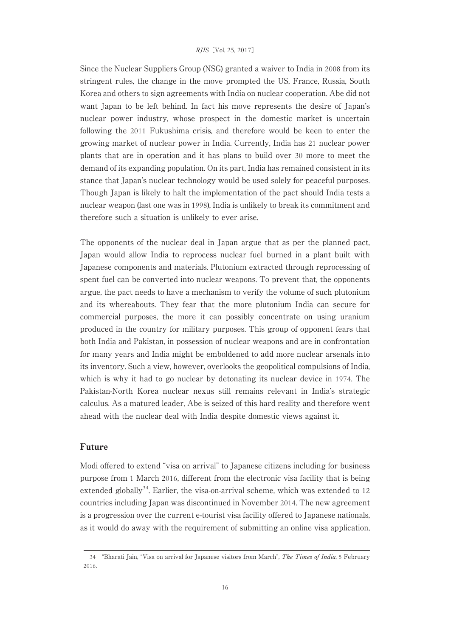Since the Nuclear Suppliers Group (NSG) granted a waiver to India in 2008 from its stringent rules, the change in the move prompted the US, France, Russia, South Korea and others to sign agreements with India on nuclear cooperation. Abe did not want Japan to be left behind. In fact his move represents the desire of Japan's nuclear power industry, whose prospect in the domestic market is uncertain following the 2011 Fukushima crisis, and therefore would be keen to enter the growing market of nuclear power in India. Currently, India has 21 nuclear power plants that are in operation and it has plans to build over 30 more to meet the demand of its expanding population. On its part, India has remained consistent in its stance that Japan's nuclear technology would be used solely for peaceful purposes. Though Japan is likely to halt the implementation of the pact should India tests a nuclear weapon (last one was in 1998), India is unlikely to break its commitment and therefore such a situation is unlikely to ever arise.

The opponents of the nuclear deal in Japan argue that as per the planned pact, Japan would allow India to reprocess nuclear fuel burned in a plant built with Japanese components and materials. Plutonium extracted through reprocessing of spent fuel can be converted into nuclear weapons. To prevent that, the opponents argue, the pact needs to have a mechanism to verify the volume of such plutonium and its whereabouts. They fear that the more plutonium India can secure for commercial purposes, the more it can possibly concentrate on using uranium produced in the country for military purposes. This group of opponent fears that both India and Pakistan, in possession of nuclear weapons and are in confrontation for many years and India might be emboldened to add more nuclear arsenals into its inventory. Such a view, however, overlooks the geopolitical compulsions of India, which is why it had to go nuclear by detonating its nuclear device in 1974. The Pakistan-North Korea nuclear nexus still remains relevant in India's strategic calculus. As a matured leader, Abe is seized of this hard reality and therefore went ahead with the nuclear deal with India despite domestic views against it.

# Future

Modi offered to extend "visa on arrival" to Japanese citizens including for business purpose from 1 March 2016, different from the electronic visa facility that is being extended globally<sup>34</sup>. Earlier, the visa-on-arrival scheme, which was extended to  $12$ countries including Japan was discontinued in November 2014. The new agreement is a progression over the current e-tourist visa facility offered to Japanese nationals, as it would do away with the requirement of submitting an online visa application,

<sup>34 &</sup>quot;Bharati Jain, "Visa on arrival for Japanese visitors from March", The Times of India, 5 February 2016.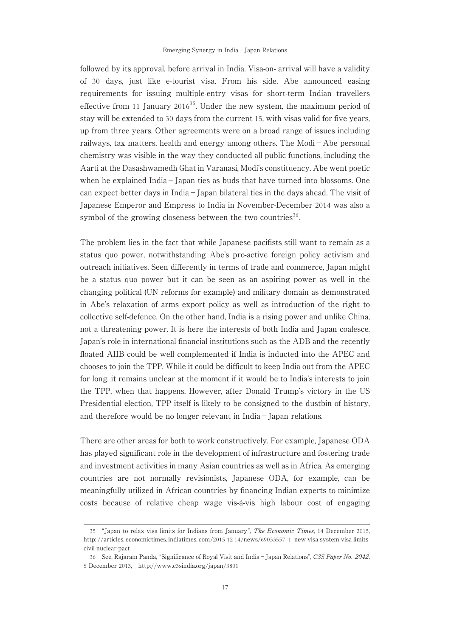followed by its approval, before arrival in India. Visa-on- arrival will have a validity of 30 days, just like e-tourist visa. From his side, Abe announced easing requirements for issuing multiple-entry visas for short-term Indian travellers effective from 11 January  $2016^{35}$ . Under the new system, the maximum period of stay will be extended to 30 days from the current 15, with visas valid for five years, up from three years. Other agreements were on a broad range of issues including railways, tax matters, health and energy among others. The Modi−Abe personal chemistry was visible in the way they conducted all public functions, including the Aarti at the Dasashwamedh Ghat in Varanasi, Modi's constituency. Abe went poetic when he explained India−Japan ties as buds that have turned into blossoms. One can expect better days in India−Japan bilateral ties in the days ahead. The visit of Japanese Emperor and Empress to India in November-December 2014 was also a symbol of the growing closeness between the two countries<sup>36</sup>.

The problem lies in the fact that while Japanese pacifists still want to remain as a status quo power, notwithstanding Abe's pro-active foreign policy activism and outreach initiatives. Seen differently in terms of trade and commerce, Japan might be a status quo power but it can be seen as an aspiring power as well in the changing political (UN reforms for example) and military domain as demonstrated in Abe's relaxation of arms export policy as well as introduction of the right to collective self-defence. On the other hand, India is a rising power and unlike China, not a threatening power. It is here the interests of both India and Japan coalesce. Japan's role in international financial institutions such as the ADB and the recently floated AIIB could be well complemented if India is inducted into the APEC and chooses to join the TPP. While it could be difficult to keep India out from the APEC for long, it remains unclear at the moment if it would be to India's interests to join the TPP, when that happens. However, after Donald Trump's victory in the US Presidential election, TPP itself is likely to be consigned to the dustbin of history, and therefore would be no longer relevant in India−Japan relations.

There are other areas for both to work constructively. For example, Japanese ODA has played significant role in the development of infrastructure and fostering trade and investment activities in many Asian countries as well as in Africa. As emerging countries are not normally revisionists, Japanese ODA, for example, can be meaningfully utilized in African countries by financing Indian experts to minimize costs because of relative cheap wage vis-à-vis high labour cost of engaging

<sup>35</sup> "Japan to relax visa limits for Indians from January", The Economic Times, 14 December 2015, http: //articles. economictimes. indiatimes. com/2015-12-14/news/69033557\_1\_new-visa-system-visa-limitscivil-nuclear-pact

<sup>36</sup> See, Rajaram Panda, "Significance of Royal Visit and India−Japan Relations", C3S Paper No. 2042, 5 December 2013, http://www.c3sindia.org/japan/3801